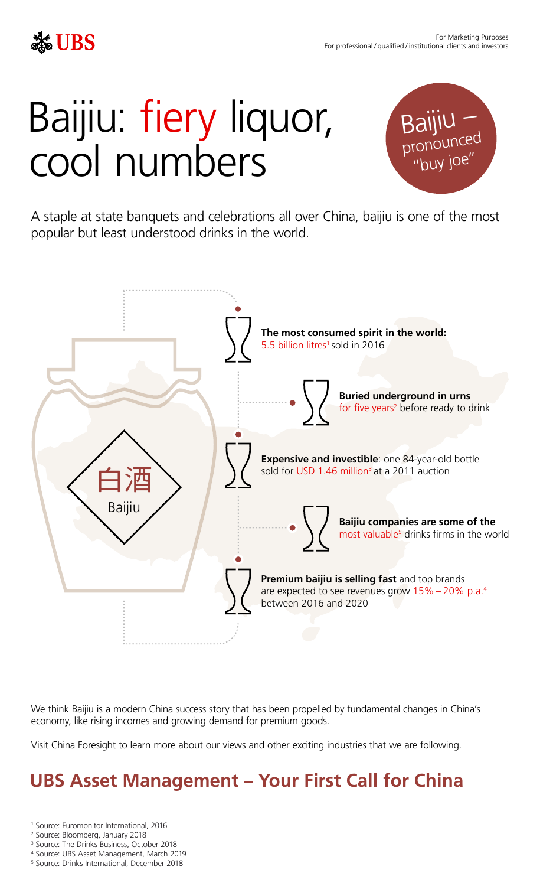# Baijiu: fiery liquor, cool numbers

A staple at state banquets and celebrations all over China, baijiu is one of the most popular but least understood drinks in the world.



- 1 Source: Euromonitor International, 2016
- 2 Source: Bloomberg, January 2018
- <sup>3</sup> Source: The Drinks Business, October 2018
- 4 Source: UBS Asset Management, March 2019
- 5 Source: Drinks International, December 2018



## **UBS Asset Management – Your First Call for China**



For Marketing Purposes For professional / qualified / institutional clients and investors

We think Baijiu is a modern China success story that has been propelled by fundamental changes in China's economy, like rising incomes and growing demand for premium goods.

Visit China Foresight to learn more about our views and other exciting industries that we are following.